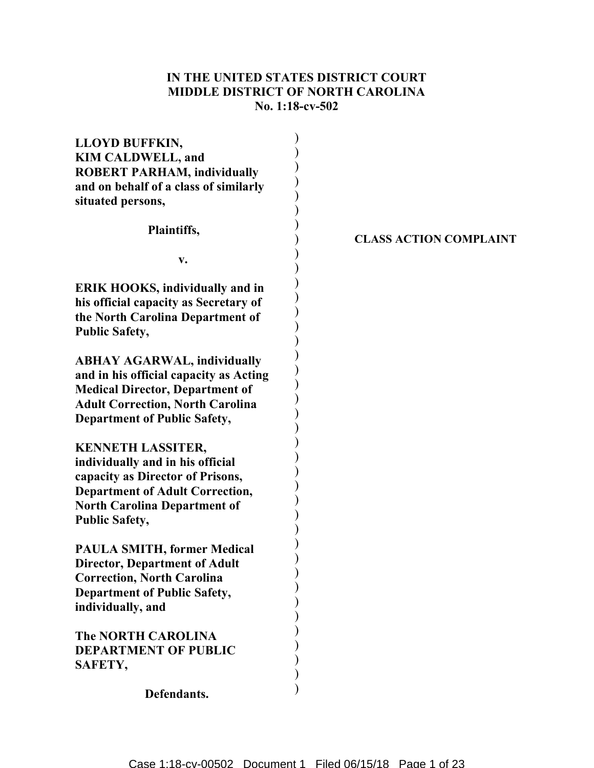# IN THE UNITED STATES DISTRICT COURT MIDDLE DISTRICT OF NORTH CAROLINA No. 1:18-cv-502

| <b>LLOYD BUFFKIN,</b><br><b>KIM CALDWELL, and</b><br><b>ROBERT PARHAM, individually</b><br>and on behalf of a class of similarly<br>situated persons,                                                      |  |
|------------------------------------------------------------------------------------------------------------------------------------------------------------------------------------------------------------|--|
| Plaintiffs,                                                                                                                                                                                                |  |
| v.                                                                                                                                                                                                         |  |
| <b>ERIK HOOKS, individually and in</b><br>his official capacity as Secretary of<br>the North Carolina Department of<br><b>Public Safety,</b>                                                               |  |
| <b>ABHAY AGARWAL, individually</b><br>and in his official capacity as Acting<br><b>Medical Director, Department of</b><br><b>Adult Correction, North Carolina</b><br><b>Department of Public Safety,</b>   |  |
| <b>KENNETH LASSITER,</b><br>individually and in his official<br>capacity as Director of Prisons,<br><b>Department of Adult Correction,</b><br><b>North Carolina Department of</b><br><b>Public Safety,</b> |  |
| <b>PAULA SMITH, former Medical</b><br><b>Director, Department of Adult</b><br><b>Correction, North Carolina</b><br><b>Department of Public Safety,</b><br>individually, and                                |  |
| <b>The NORTH CAROLINA</b><br><b>DEPARTMENT OF PUBLIC</b><br>SAFETY,                                                                                                                                        |  |
| Defendants.                                                                                                                                                                                                |  |

CLASS ACTION COMPLAINT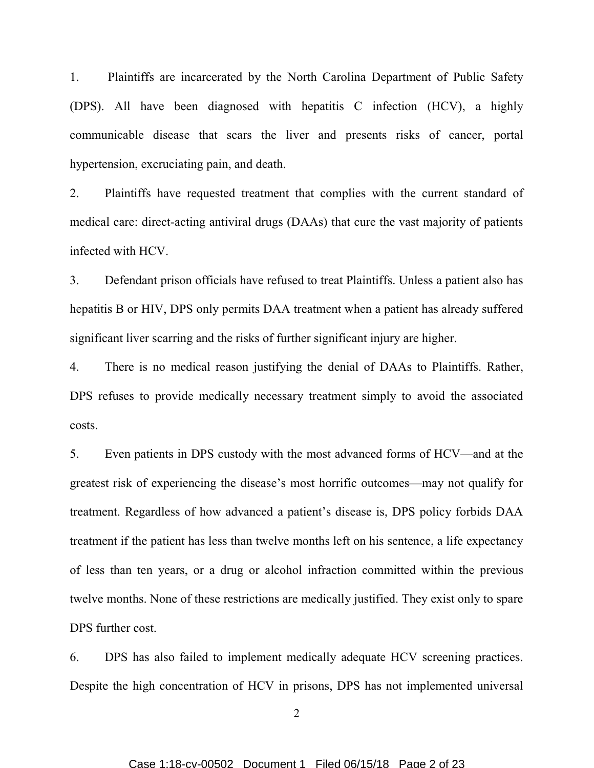1. Plaintiffs are incarcerated by the North Carolina Department of Public Safety (DPS). All have been diagnosed with hepatitis C infection (HCV), a highly communicable disease that scars the liver and presents risks of cancer, portal hypertension, excruciating pain, and death.

2. Plaintiffs have requested treatment that complies with the current standard of medical care: direct-acting antiviral drugs (DAAs) that cure the vast majority of patients infected with HCV.

3. Defendant prison officials have refused to treat Plaintiffs. Unless a patient also has hepatitis B or HIV, DPS only permits DAA treatment when a patient has already suffered significant liver scarring and the risks of further significant injury are higher.

4. There is no medical reason justifying the denial of DAAs to Plaintiffs. Rather, DPS refuses to provide medically necessary treatment simply to avoid the associated costs.

5. Even patients in DPS custody with the most advanced forms of HCV—and at the greatest risk of experiencing the disease's most horrific outcomes—may not qualify for treatment. Regardless of how advanced a patient's disease is, DPS policy forbids DAA treatment if the patient has less than twelve months left on his sentence, a life expectancy of less than ten years, or a drug or alcohol infraction committed within the previous twelve months. None of these restrictions are medically justified. They exist only to spare DPS further cost.

6. DPS has also failed to implement medically adequate HCV screening practices. Despite the high concentration of HCV in prisons, DPS has not implemented universal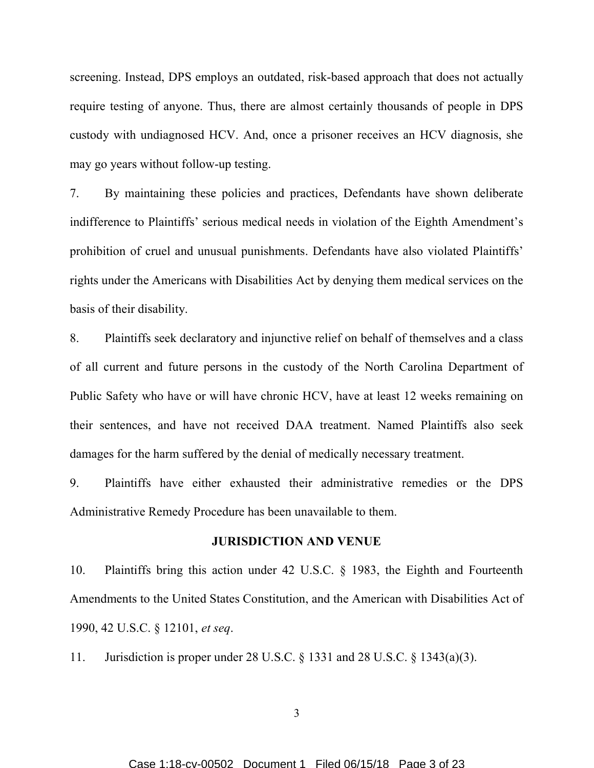screening. Instead, DPS employs an outdated, risk-based approach that does not actually require testing of anyone. Thus, there are almost certainly thousands of people in DPS custody with undiagnosed HCV. And, once a prisoner receives an HCV diagnosis, she may go years without follow-up testing.

7. By maintaining these policies and practices, Defendants have shown deliberate indifference to Plaintiffs' serious medical needs in violation of the Eighth Amendment's prohibition of cruel and unusual punishments. Defendants have also violated Plaintiffs' rights under the Americans with Disabilities Act by denying them medical services on the basis of their disability.

8. Plaintiffs seek declaratory and injunctive relief on behalf of themselves and a class of all current and future persons in the custody of the North Carolina Department of Public Safety who have or will have chronic HCV, have at least 12 weeks remaining on their sentences, and have not received DAA treatment. Named Plaintiffs also seek damages for the harm suffered by the denial of medically necessary treatment.

9. Plaintiffs have either exhausted their administrative remedies or the DPS Administrative Remedy Procedure has been unavailable to them.

## JURISDICTION AND VENUE

10. Plaintiffs bring this action under 42 U.S.C. § 1983, the Eighth and Fourteenth Amendments to the United States Constitution, and the American with Disabilities Act of 1990, 42 U.S.C. § 12101, et seq.

11. Jurisdiction is proper under 28 U.S.C. § 1331 and 28 U.S.C. § 1343(a)(3).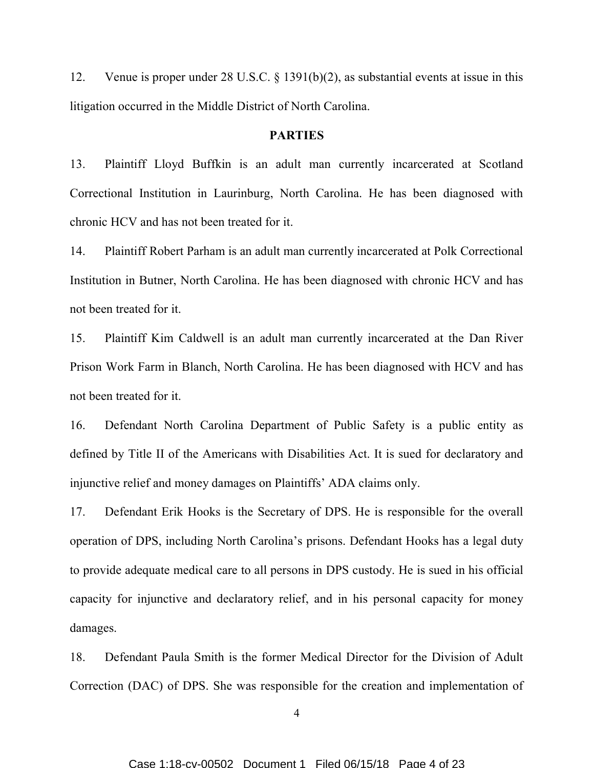12. Venue is proper under 28 U.S.C. § 1391(b)(2), as substantial events at issue in this litigation occurred in the Middle District of North Carolina.

## PARTIES

13. Plaintiff Lloyd Buffkin is an adult man currently incarcerated at Scotland Correctional Institution in Laurinburg, North Carolina. He has been diagnosed with chronic HCV and has not been treated for it.

14. Plaintiff Robert Parham is an adult man currently incarcerated at Polk Correctional Institution in Butner, North Carolina. He has been diagnosed with chronic HCV and has not been treated for it.

15. Plaintiff Kim Caldwell is an adult man currently incarcerated at the Dan River Prison Work Farm in Blanch, North Carolina. He has been diagnosed with HCV and has not been treated for it.

16. Defendant North Carolina Department of Public Safety is a public entity as defined by Title II of the Americans with Disabilities Act. It is sued for declaratory and injunctive relief and money damages on Plaintiffs' ADA claims only.

17. Defendant Erik Hooks is the Secretary of DPS. He is responsible for the overall operation of DPS, including North Carolina's prisons. Defendant Hooks has a legal duty to provide adequate medical care to all persons in DPS custody. He is sued in his official capacity for injunctive and declaratory relief, and in his personal capacity for money damages.

18. Defendant Paula Smith is the former Medical Director for the Division of Adult Correction (DAC) of DPS. She was responsible for the creation and implementation of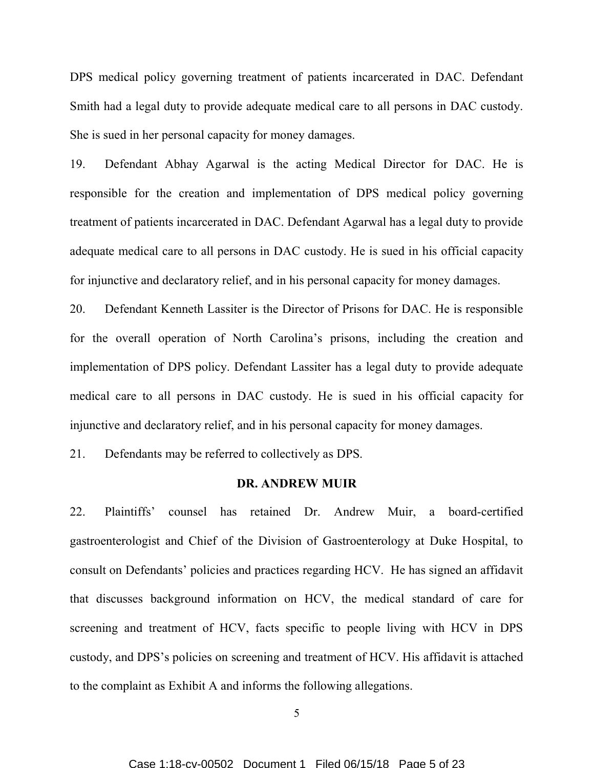DPS medical policy governing treatment of patients incarcerated in DAC. Defendant Smith had a legal duty to provide adequate medical care to all persons in DAC custody. She is sued in her personal capacity for money damages.

19. Defendant Abhay Agarwal is the acting Medical Director for DAC. He is responsible for the creation and implementation of DPS medical policy governing treatment of patients incarcerated in DAC. Defendant Agarwal has a legal duty to provide adequate medical care to all persons in DAC custody. He is sued in his official capacity for injunctive and declaratory relief, and in his personal capacity for money damages.

20. Defendant Kenneth Lassiter is the Director of Prisons for DAC. He is responsible for the overall operation of North Carolina's prisons, including the creation and implementation of DPS policy. Defendant Lassiter has a legal duty to provide adequate medical care to all persons in DAC custody. He is sued in his official capacity for injunctive and declaratory relief, and in his personal capacity for money damages.

21. Defendants may be referred to collectively as DPS.

## DR. ANDREW MUIR

22. Plaintiffs' counsel has retained Dr. Andrew Muir, a board-certified gastroenterologist and Chief of the Division of Gastroenterology at Duke Hospital, to consult on Defendants' policies and practices regarding HCV. He has signed an affidavit that discusses background information on HCV, the medical standard of care for screening and treatment of HCV, facts specific to people living with HCV in DPS custody, and DPS's policies on screening and treatment of HCV. His affidavit is attached to the complaint as Exhibit A and informs the following allegations.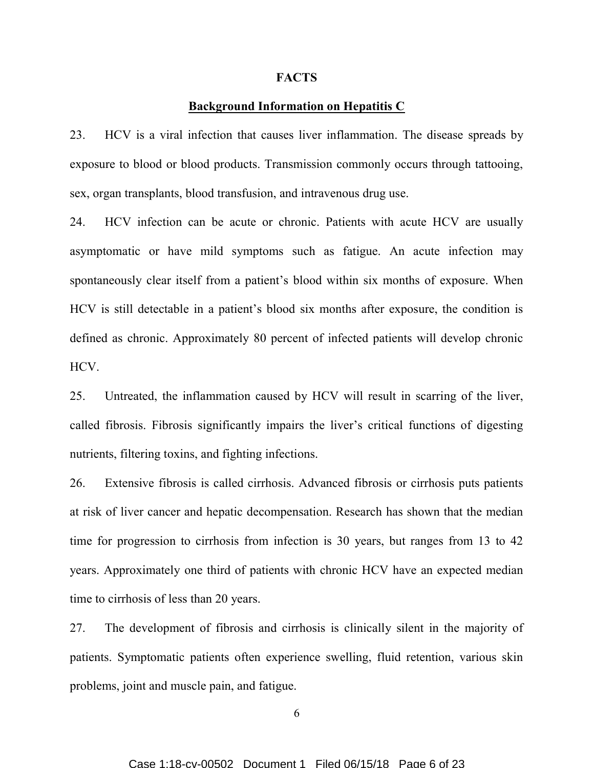#### **FACTS**

## Background Information on Hepatitis C

23. HCV is a viral infection that causes liver inflammation. The disease spreads by exposure to blood or blood products. Transmission commonly occurs through tattooing, sex, organ transplants, blood transfusion, and intravenous drug use.

24. HCV infection can be acute or chronic. Patients with acute HCV are usually asymptomatic or have mild symptoms such as fatigue. An acute infection may spontaneously clear itself from a patient's blood within six months of exposure. When HCV is still detectable in a patient's blood six months after exposure, the condition is defined as chronic. Approximately 80 percent of infected patients will develop chronic HCV.

25. Untreated, the inflammation caused by HCV will result in scarring of the liver, called fibrosis. Fibrosis significantly impairs the liver's critical functions of digesting nutrients, filtering toxins, and fighting infections.

26. Extensive fibrosis is called cirrhosis. Advanced fibrosis or cirrhosis puts patients at risk of liver cancer and hepatic decompensation. Research has shown that the median time for progression to cirrhosis from infection is 30 years, but ranges from 13 to 42 years. Approximately one third of patients with chronic HCV have an expected median time to cirrhosis of less than 20 years.

27. The development of fibrosis and cirrhosis is clinically silent in the majority of patients. Symptomatic patients often experience swelling, fluid retention, various skin problems, joint and muscle pain, and fatigue.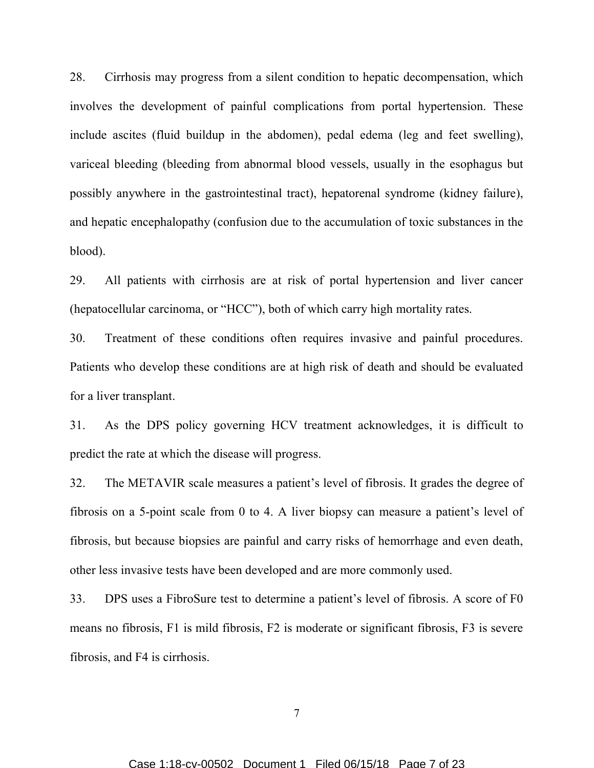28. Cirrhosis may progress from a silent condition to hepatic decompensation, which involves the development of painful complications from portal hypertension. These include ascites (fluid buildup in the abdomen), pedal edema (leg and feet swelling), variceal bleeding (bleeding from abnormal blood vessels, usually in the esophagus but possibly anywhere in the gastrointestinal tract), hepatorenal syndrome (kidney failure), and hepatic encephalopathy (confusion due to the accumulation of toxic substances in the blood).

29. All patients with cirrhosis are at risk of portal hypertension and liver cancer (hepatocellular carcinoma, or "HCC"), both of which carry high mortality rates.

30. Treatment of these conditions often requires invasive and painful procedures. Patients who develop these conditions are at high risk of death and should be evaluated for a liver transplant.

31. As the DPS policy governing HCV treatment acknowledges, it is difficult to predict the rate at which the disease will progress.

32. The METAVIR scale measures a patient's level of fibrosis. It grades the degree of fibrosis on a 5-point scale from 0 to 4. A liver biopsy can measure a patient's level of fibrosis, but because biopsies are painful and carry risks of hemorrhage and even death, other less invasive tests have been developed and are more commonly used.

33. DPS uses a FibroSure test to determine a patient's level of fibrosis. A score of F0 means no fibrosis, F1 is mild fibrosis, F2 is moderate or significant fibrosis, F3 is severe fibrosis, and F4 is cirrhosis.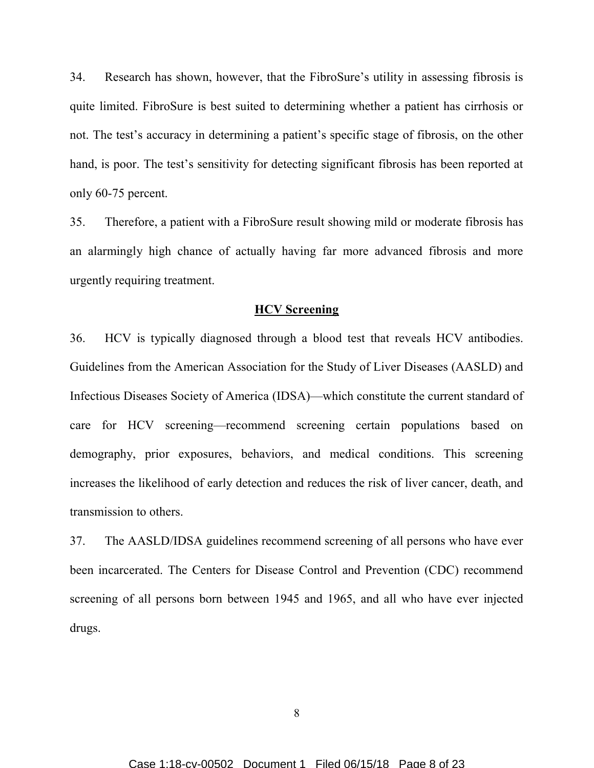34. Research has shown, however, that the FibroSure's utility in assessing fibrosis is quite limited. FibroSure is best suited to determining whether a patient has cirrhosis or not. The test's accuracy in determining a patient's specific stage of fibrosis, on the other hand, is poor. The test's sensitivity for detecting significant fibrosis has been reported at only 60-75 percent.

35. Therefore, a patient with a FibroSure result showing mild or moderate fibrosis has an alarmingly high chance of actually having far more advanced fibrosis and more urgently requiring treatment.

### HCV Screening

36. HCV is typically diagnosed through a blood test that reveals HCV antibodies. Guidelines from the American Association for the Study of Liver Diseases (AASLD) and Infectious Diseases Society of America (IDSA)—which constitute the current standard of care for HCV screening—recommend screening certain populations based on demography, prior exposures, behaviors, and medical conditions. This screening increases the likelihood of early detection and reduces the risk of liver cancer, death, and transmission to others.

37. The AASLD/IDSA guidelines recommend screening of all persons who have ever been incarcerated. The Centers for Disease Control and Prevention (CDC) recommend screening of all persons born between 1945 and 1965, and all who have ever injected drugs.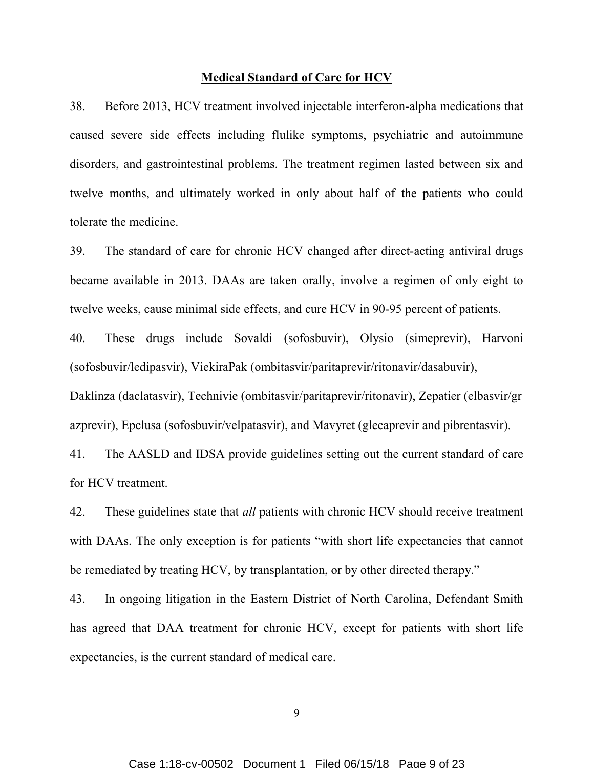#### Medical Standard of Care for HCV

38. Before 2013, HCV treatment involved injectable interferon-alpha medications that caused severe side effects including flulike symptoms, psychiatric and autoimmune disorders, and gastrointestinal problems. The treatment regimen lasted between six and twelve months, and ultimately worked in only about half of the patients who could tolerate the medicine.

39. The standard of care for chronic HCV changed after direct-acting antiviral drugs became available in 2013. DAAs are taken orally, involve a regimen of only eight to twelve weeks, cause minimal side effects, and cure HCV in 90-95 percent of patients.

40. These drugs include Sovaldi (sofosbuvir), Olysio (simeprevir), Harvoni (sofosbuvir/ledipasvir), ViekiraPak (ombitasvir/paritaprevir/ritonavir/dasabuvir),

Daklinza (daclatasvir), Technivie (ombitasvir/paritaprevir/ritonavir), Zepatier (elbasvir/gr azprevir), Epclusa (sofosbuvir/velpatasvir), and Mavyret (glecaprevir and pibrentasvir).

41. The AASLD and IDSA provide guidelines setting out the current standard of care for HCV treatment.

42. These guidelines state that *all* patients with chronic HCV should receive treatment with DAAs. The only exception is for patients "with short life expectancies that cannot be remediated by treating HCV, by transplantation, or by other directed therapy."

43. In ongoing litigation in the Eastern District of North Carolina, Defendant Smith has agreed that DAA treatment for chronic HCV, except for patients with short life expectancies, is the current standard of medical care.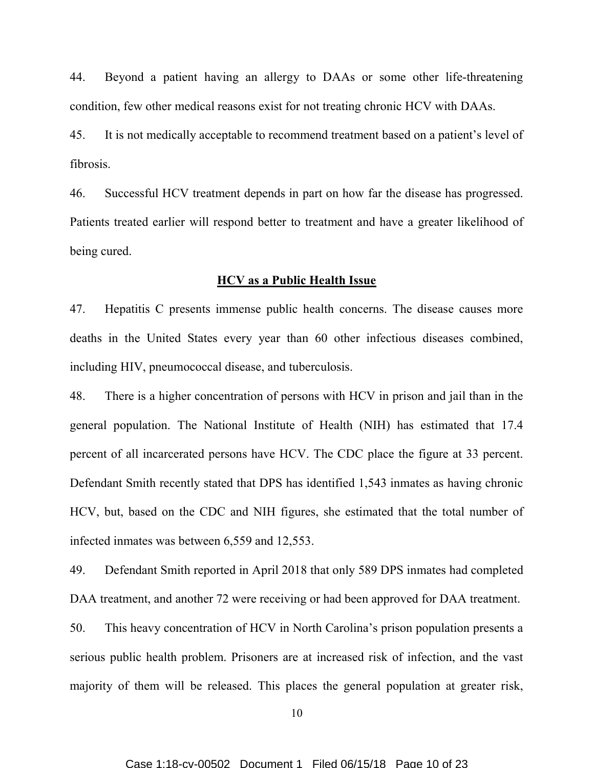44. Beyond a patient having an allergy to DAAs or some other life-threatening condition, few other medical reasons exist for not treating chronic HCV with DAAs.

45. It is not medically acceptable to recommend treatment based on a patient's level of fibrosis.

46. Successful HCV treatment depends in part on how far the disease has progressed. Patients treated earlier will respond better to treatment and have a greater likelihood of being cured.

#### HCV as a Public Health Issue

47. Hepatitis C presents immense public health concerns. The disease causes more deaths in the United States every year than 60 other infectious diseases combined, including HIV, pneumococcal disease, and tuberculosis.

48. There is a higher concentration of persons with HCV in prison and jail than in the general population. The National Institute of Health (NIH) has estimated that 17.4 percent of all incarcerated persons have HCV. The CDC place the figure at 33 percent. Defendant Smith recently stated that DPS has identified 1,543 inmates as having chronic HCV, but, based on the CDC and NIH figures, she estimated that the total number of infected inmates was between 6,559 and 12,553.

49. Defendant Smith reported in April 2018 that only 589 DPS inmates had completed DAA treatment, and another 72 were receiving or had been approved for DAA treatment.

50. This heavy concentration of HCV in North Carolina's prison population presents a serious public health problem. Prisoners are at increased risk of infection, and the vast majority of them will be released. This places the general population at greater risk,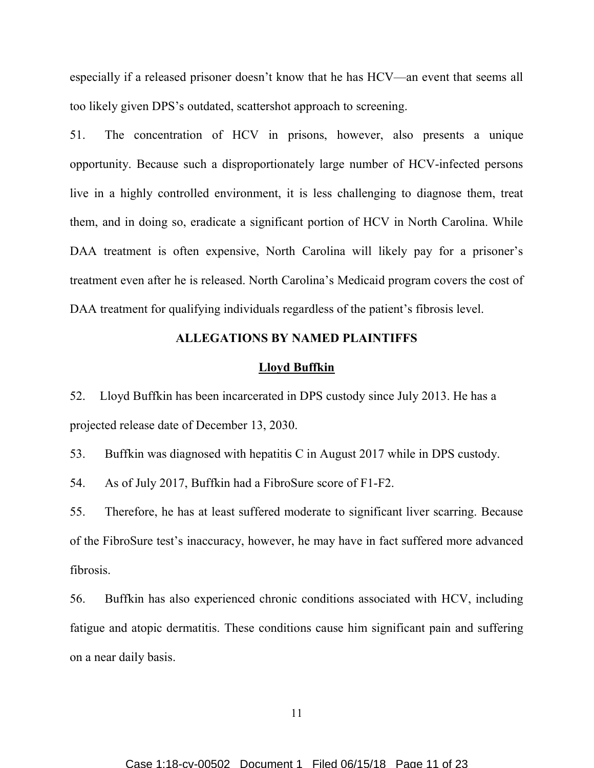especially if a released prisoner doesn't know that he has HCV—an event that seems all too likely given DPS's outdated, scattershot approach to screening.

51. The concentration of HCV in prisons, however, also presents a unique opportunity. Because such a disproportionately large number of HCV-infected persons live in a highly controlled environment, it is less challenging to diagnose them, treat them, and in doing so, eradicate a significant portion of HCV in North Carolina. While DAA treatment is often expensive, North Carolina will likely pay for a prisoner's treatment even after he is released. North Carolina's Medicaid program covers the cost of DAA treatment for qualifying individuals regardless of the patient's fibrosis level.

## ALLEGATIONS BY NAMED PLAINTIFFS

## Lloyd Buffkin

52. Lloyd Buffkin has been incarcerated in DPS custody since July 2013. He has a projected release date of December 13, 2030.

53. Buffkin was diagnosed with hepatitis C in August 2017 while in DPS custody.

54. As of July 2017, Buffkin had a FibroSure score of F1-F2.

55. Therefore, he has at least suffered moderate to significant liver scarring. Because of the FibroSure test's inaccuracy, however, he may have in fact suffered more advanced fibrosis.

56. Buffkin has also experienced chronic conditions associated with HCV, including fatigue and atopic dermatitis. These conditions cause him significant pain and suffering on a near daily basis.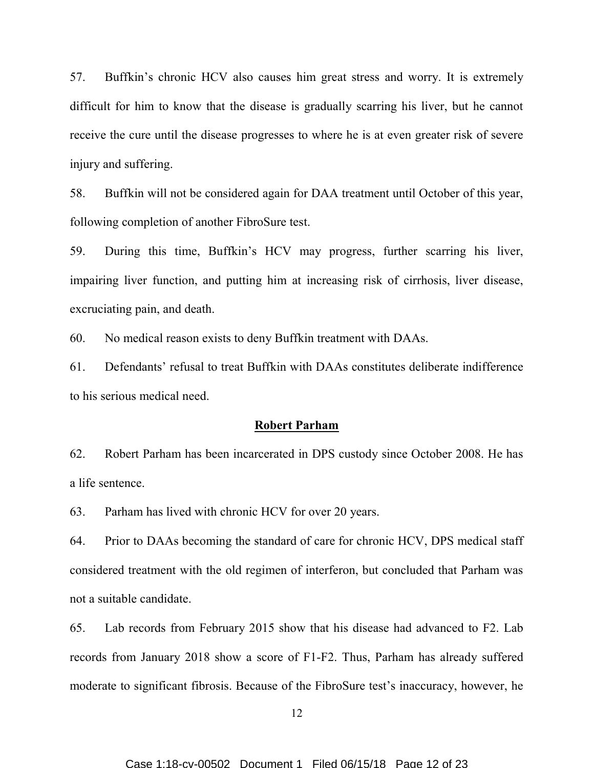57. Buffkin's chronic HCV also causes him great stress and worry. It is extremely difficult for him to know that the disease is gradually scarring his liver, but he cannot receive the cure until the disease progresses to where he is at even greater risk of severe injury and suffering.

58. Buffkin will not be considered again for DAA treatment until October of this year, following completion of another FibroSure test.

59. During this time, Buffkin's HCV may progress, further scarring his liver, impairing liver function, and putting him at increasing risk of cirrhosis, liver disease, excruciating pain, and death.

60. No medical reason exists to deny Buffkin treatment with DAAs.

61. Defendants' refusal to treat Buffkin with DAAs constitutes deliberate indifference to his serious medical need.

### Robert Parham

62. Robert Parham has been incarcerated in DPS custody since October 2008. He has a life sentence.

63. Parham has lived with chronic HCV for over 20 years.

64. Prior to DAAs becoming the standard of care for chronic HCV, DPS medical staff considered treatment with the old regimen of interferon, but concluded that Parham was not a suitable candidate.

65. Lab records from February 2015 show that his disease had advanced to F2. Lab records from January 2018 show a score of F1-F2. Thus, Parham has already suffered moderate to significant fibrosis. Because of the FibroSure test's inaccuracy, however, he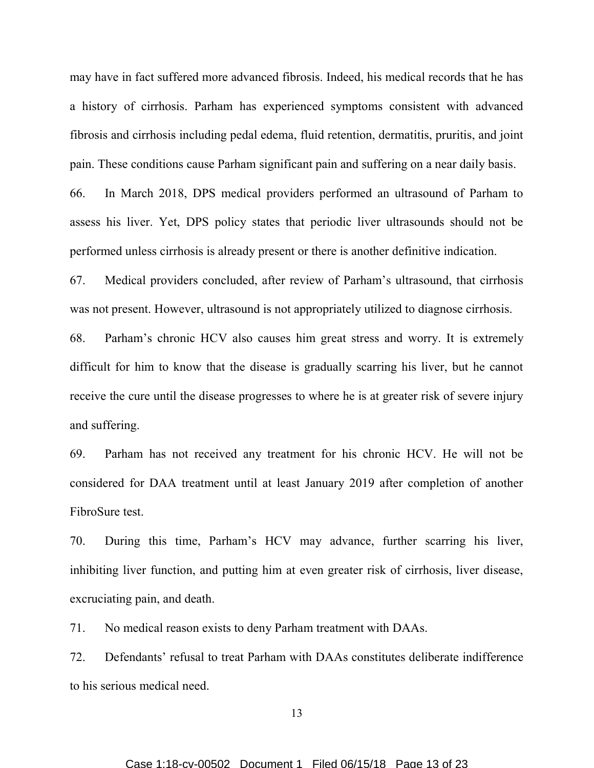may have in fact suffered more advanced fibrosis. Indeed, his medical records that he has a history of cirrhosis. Parham has experienced symptoms consistent with advanced fibrosis and cirrhosis including pedal edema, fluid retention, dermatitis, pruritis, and joint pain. These conditions cause Parham significant pain and suffering on a near daily basis.

66. In March 2018, DPS medical providers performed an ultrasound of Parham to assess his liver. Yet, DPS policy states that periodic liver ultrasounds should not be performed unless cirrhosis is already present or there is another definitive indication.

67. Medical providers concluded, after review of Parham's ultrasound, that cirrhosis was not present. However, ultrasound is not appropriately utilized to diagnose cirrhosis.

68. Parham's chronic HCV also causes him great stress and worry. It is extremely difficult for him to know that the disease is gradually scarring his liver, but he cannot receive the cure until the disease progresses to where he is at greater risk of severe injury and suffering.

69. Parham has not received any treatment for his chronic HCV. He will not be considered for DAA treatment until at least January 2019 after completion of another FibroSure test.

70. During this time, Parham's HCV may advance, further scarring his liver, inhibiting liver function, and putting him at even greater risk of cirrhosis, liver disease, excruciating pain, and death.

71. No medical reason exists to deny Parham treatment with DAAs.

72. Defendants' refusal to treat Parham with DAAs constitutes deliberate indifference to his serious medical need.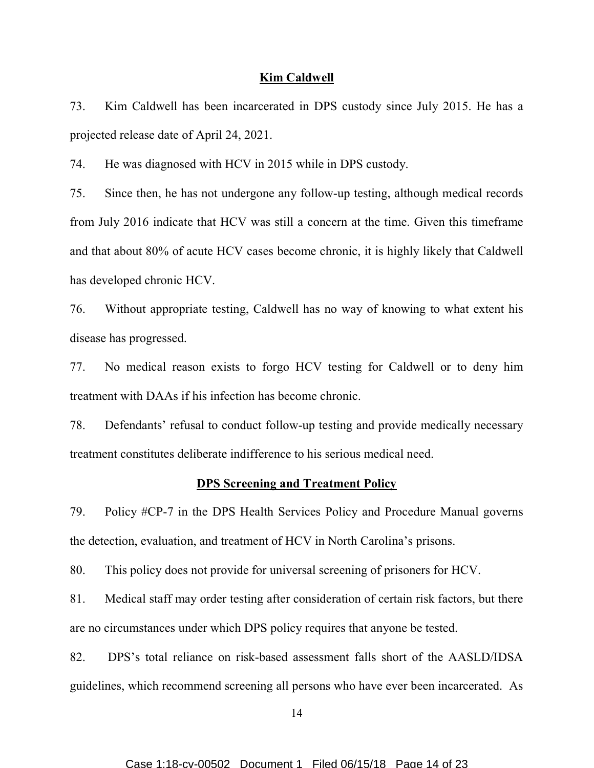#### Kim Caldwell

73. Kim Caldwell has been incarcerated in DPS custody since July 2015. He has a projected release date of April 24, 2021.

74. He was diagnosed with HCV in 2015 while in DPS custody.

75. Since then, he has not undergone any follow-up testing, although medical records from July 2016 indicate that HCV was still a concern at the time. Given this timeframe and that about 80% of acute HCV cases become chronic, it is highly likely that Caldwell has developed chronic HCV.

76. Without appropriate testing, Caldwell has no way of knowing to what extent his disease has progressed.

77. No medical reason exists to forgo HCV testing for Caldwell or to deny him treatment with DAAs if his infection has become chronic.

78. Defendants' refusal to conduct follow-up testing and provide medically necessary treatment constitutes deliberate indifference to his serious medical need.

#### DPS Screening and Treatment Policy

79. Policy #CP-7 in the DPS Health Services Policy and Procedure Manual governs the detection, evaluation, and treatment of HCV in North Carolina's prisons.

80. This policy does not provide for universal screening of prisoners for HCV.

81. Medical staff may order testing after consideration of certain risk factors, but there are no circumstances under which DPS policy requires that anyone be tested.

82. DPS's total reliance on risk-based assessment falls short of the AASLD/IDSA guidelines, which recommend screening all persons who have ever been incarcerated. As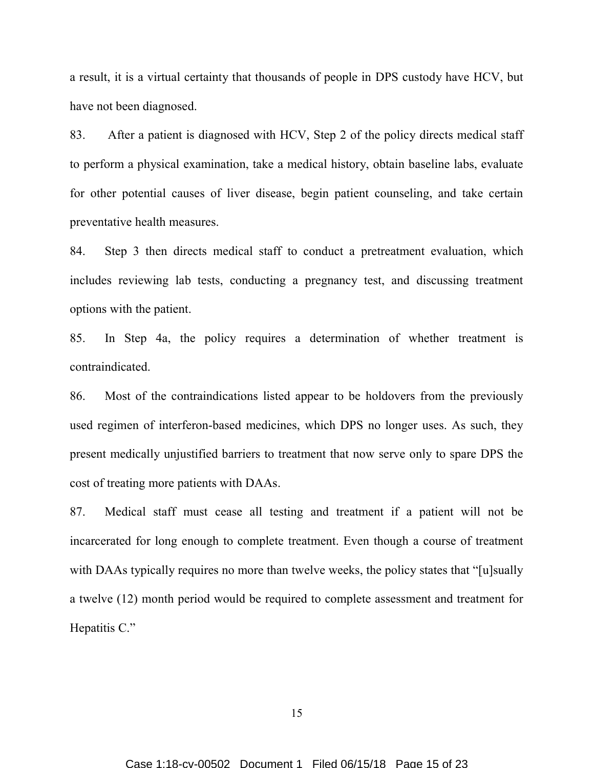a result, it is a virtual certainty that thousands of people in DPS custody have HCV, but have not been diagnosed.

83. After a patient is diagnosed with HCV, Step 2 of the policy directs medical staff to perform a physical examination, take a medical history, obtain baseline labs, evaluate for other potential causes of liver disease, begin patient counseling, and take certain preventative health measures.

84. Step 3 then directs medical staff to conduct a pretreatment evaluation, which includes reviewing lab tests, conducting a pregnancy test, and discussing treatment options with the patient.

85. In Step 4a, the policy requires a determination of whether treatment is contraindicated.

86. Most of the contraindications listed appear to be holdovers from the previously used regimen of interferon-based medicines, which DPS no longer uses. As such, they present medically unjustified barriers to treatment that now serve only to spare DPS the cost of treating more patients with DAAs.

87. Medical staff must cease all testing and treatment if a patient will not be incarcerated for long enough to complete treatment. Even though a course of treatment with DAAs typically requires no more than twelve weeks, the policy states that "[u] sually a twelve (12) month period would be required to complete assessment and treatment for Hepatitis C."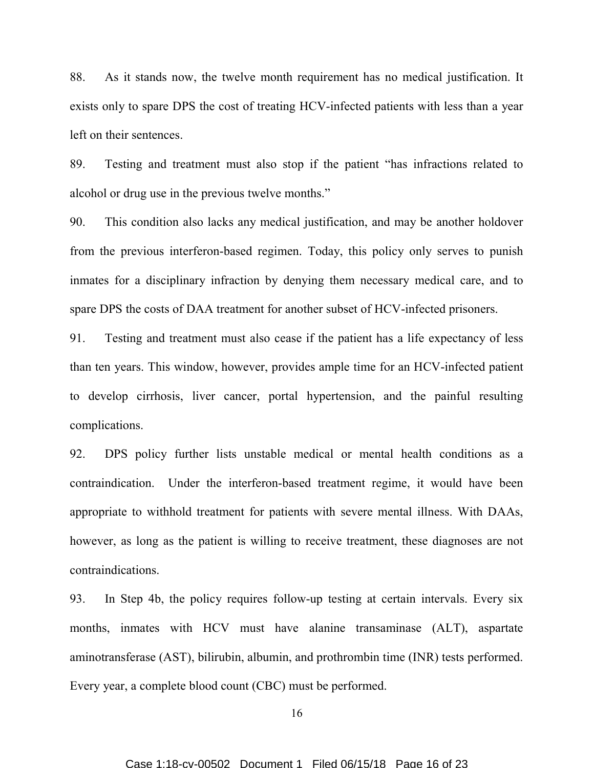88. As it stands now, the twelve month requirement has no medical justification. It exists only to spare DPS the cost of treating HCV-infected patients with less than a year left on their sentences.

89. Testing and treatment must also stop if the patient "has infractions related to alcohol or drug use in the previous twelve months."

90. This condition also lacks any medical justification, and may be another holdover from the previous interferon-based regimen. Today, this policy only serves to punish inmates for a disciplinary infraction by denying them necessary medical care, and to spare DPS the costs of DAA treatment for another subset of HCV-infected prisoners.

91. Testing and treatment must also cease if the patient has a life expectancy of less than ten years. This window, however, provides ample time for an HCV-infected patient to develop cirrhosis, liver cancer, portal hypertension, and the painful resulting complications.

92. DPS policy further lists unstable medical or mental health conditions as a contraindication. Under the interferon-based treatment regime, it would have been appropriate to withhold treatment for patients with severe mental illness. With DAAs, however, as long as the patient is willing to receive treatment, these diagnoses are not contraindications.

93. In Step 4b, the policy requires follow-up testing at certain intervals. Every six months, inmates with HCV must have alanine transaminase (ALT), aspartate aminotransferase (AST), bilirubin, albumin, and prothrombin time (INR) tests performed. Every year, a complete blood count (CBC) must be performed.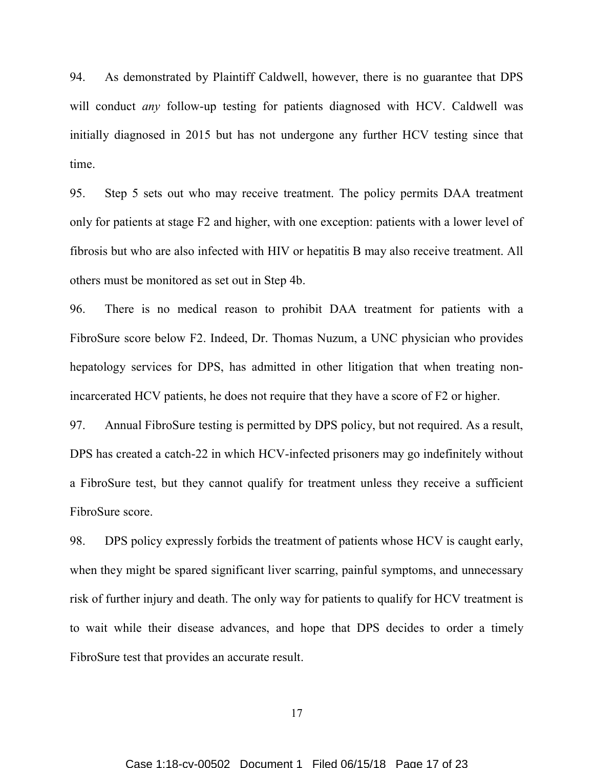94. As demonstrated by Plaintiff Caldwell, however, there is no guarantee that DPS will conduct *any* follow-up testing for patients diagnosed with HCV. Caldwell was initially diagnosed in 2015 but has not undergone any further HCV testing since that time.

95. Step 5 sets out who may receive treatment. The policy permits DAA treatment only for patients at stage F2 and higher, with one exception: patients with a lower level of fibrosis but who are also infected with HIV or hepatitis B may also receive treatment. All others must be monitored as set out in Step 4b.

96. There is no medical reason to prohibit DAA treatment for patients with a FibroSure score below F2. Indeed, Dr. Thomas Nuzum, a UNC physician who provides hepatology services for DPS, has admitted in other litigation that when treating nonincarcerated HCV patients, he does not require that they have a score of F2 or higher.

97. Annual FibroSure testing is permitted by DPS policy, but not required. As a result, DPS has created a catch-22 in which HCV-infected prisoners may go indefinitely without a FibroSure test, but they cannot qualify for treatment unless they receive a sufficient FibroSure score.

98. DPS policy expressly forbids the treatment of patients whose HCV is caught early, when they might be spared significant liver scarring, painful symptoms, and unnecessary risk of further injury and death. The only way for patients to qualify for HCV treatment is to wait while their disease advances, and hope that DPS decides to order a timely FibroSure test that provides an accurate result.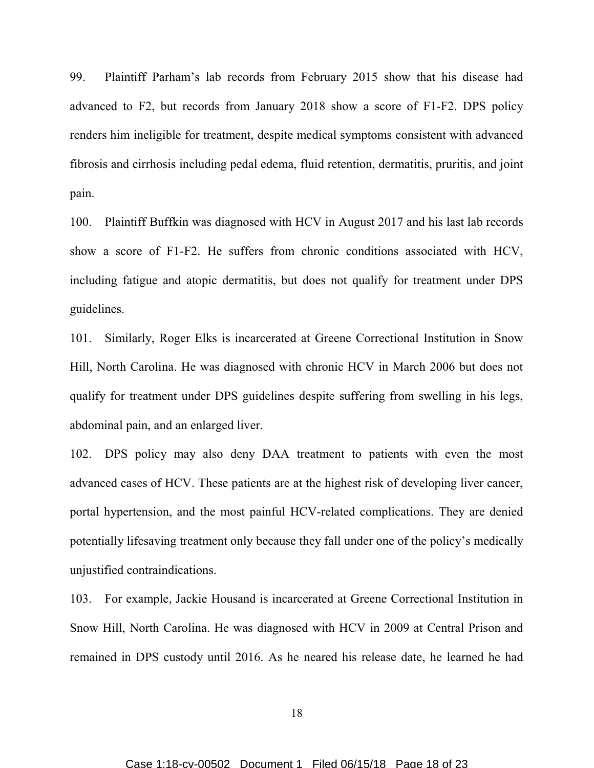99. Plaintiff Parham's lab records from February 2015 show that his disease had advanced to F2, but records from January 2018 show a score of F1-F2. DPS policy renders him ineligible for treatment, despite medical symptoms consistent with advanced fibrosis and cirrhosis including pedal edema, fluid retention, dermatitis, pruritis, and joint pain.

100. Plaintiff Buffkin was diagnosed with HCV in August 2017 and his last lab records show a score of F1-F2. He suffers from chronic conditions associated with HCV, including fatigue and atopic dermatitis, but does not qualify for treatment under DPS guidelines.

101. Similarly, Roger Elks is incarcerated at Greene Correctional Institution in Snow Hill, North Carolina. He was diagnosed with chronic HCV in March 2006 but does not qualify for treatment under DPS guidelines despite suffering from swelling in his legs, abdominal pain, and an enlarged liver.

102. DPS policy may also deny DAA treatment to patients with even the most advanced cases of HCV. These patients are at the highest risk of developing liver cancer, portal hypertension, and the most painful HCV-related complications. They are denied potentially lifesaving treatment only because they fall under one of the policy's medically unjustified contraindications.

103. For example, Jackie Housand is incarcerated at Greene Correctional Institution in Snow Hill, North Carolina. He was diagnosed with HCV in 2009 at Central Prison and remained in DPS custody until 2016. As he neared his release date, he learned he had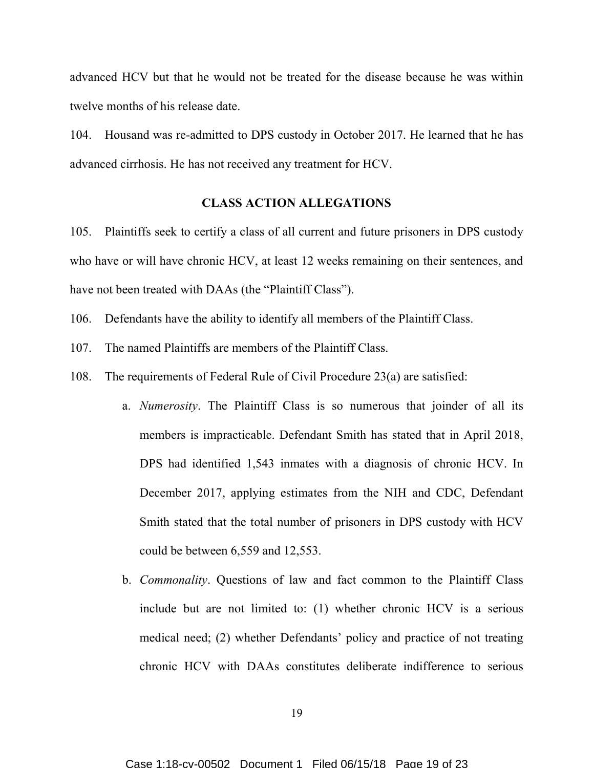advanced HCV but that he would not be treated for the disease because he was within twelve months of his release date.

104. Housand was re-admitted to DPS custody in October 2017. He learned that he has advanced cirrhosis. He has not received any treatment for HCV.

## CLASS ACTION ALLEGATIONS

105. Plaintiffs seek to certify a class of all current and future prisoners in DPS custody who have or will have chronic HCV, at least 12 weeks remaining on their sentences, and have not been treated with DAAs (the "Plaintiff Class").

106. Defendants have the ability to identify all members of the Plaintiff Class.

107. The named Plaintiffs are members of the Plaintiff Class.

108. The requirements of Federal Rule of Civil Procedure 23(a) are satisfied:

- a. Numerosity. The Plaintiff Class is so numerous that joinder of all its members is impracticable. Defendant Smith has stated that in April 2018, DPS had identified 1,543 inmates with a diagnosis of chronic HCV. In December 2017, applying estimates from the NIH and CDC, Defendant Smith stated that the total number of prisoners in DPS custody with HCV could be between 6,559 and 12,553.
- b. Commonality. Questions of law and fact common to the Plaintiff Class include but are not limited to: (1) whether chronic HCV is a serious medical need; (2) whether Defendants' policy and practice of not treating chronic HCV with DAAs constitutes deliberate indifference to serious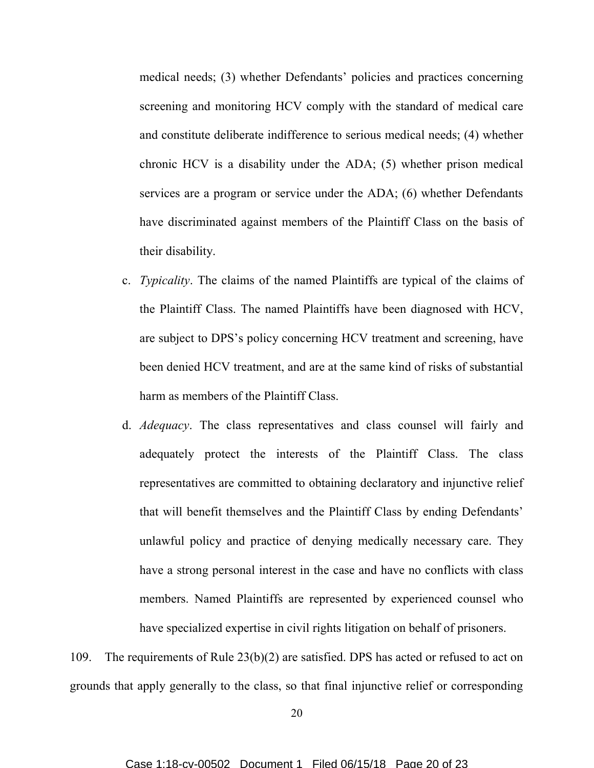medical needs; (3) whether Defendants' policies and practices concerning screening and monitoring HCV comply with the standard of medical care and constitute deliberate indifference to serious medical needs; (4) whether chronic HCV is a disability under the ADA; (5) whether prison medical services are a program or service under the ADA; (6) whether Defendants have discriminated against members of the Plaintiff Class on the basis of their disability.

- c. Typicality. The claims of the named Plaintiffs are typical of the claims of the Plaintiff Class. The named Plaintiffs have been diagnosed with HCV, are subject to DPS's policy concerning HCV treatment and screening, have been denied HCV treatment, and are at the same kind of risks of substantial harm as members of the Plaintiff Class.
- d. Adequacy. The class representatives and class counsel will fairly and adequately protect the interests of the Plaintiff Class. The class representatives are committed to obtaining declaratory and injunctive relief that will benefit themselves and the Plaintiff Class by ending Defendants' unlawful policy and practice of denying medically necessary care. They have a strong personal interest in the case and have no conflicts with class members. Named Plaintiffs are represented by experienced counsel who have specialized expertise in civil rights litigation on behalf of prisoners.

109. The requirements of Rule 23(b)(2) are satisfied. DPS has acted or refused to act on grounds that apply generally to the class, so that final injunctive relief or corresponding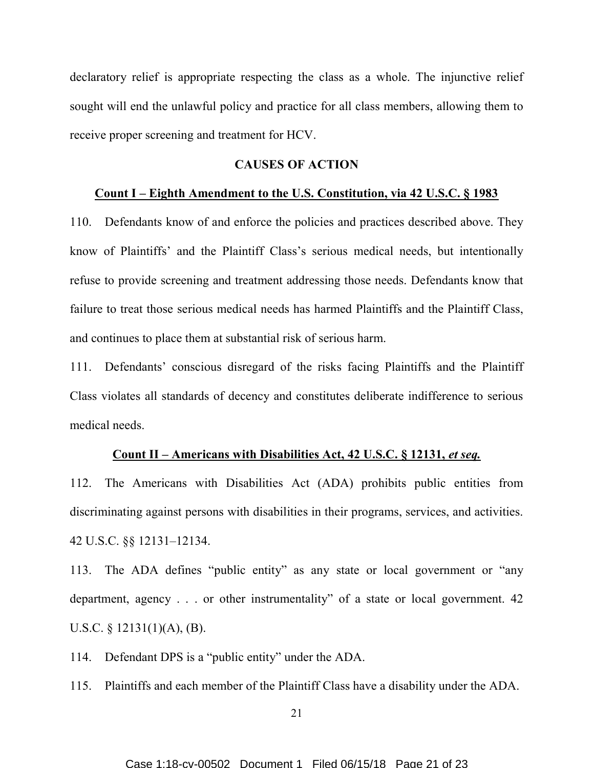declaratory relief is appropriate respecting the class as a whole. The injunctive relief sought will end the unlawful policy and practice for all class members, allowing them to receive proper screening and treatment for HCV.

### CAUSES OF ACTION

## Count I – Eighth Amendment to the U.S. Constitution, via 42 U.S.C. § 1983

110. Defendants know of and enforce the policies and practices described above. They know of Plaintiffs' and the Plaintiff Class's serious medical needs, but intentionally refuse to provide screening and treatment addressing those needs. Defendants know that failure to treat those serious medical needs has harmed Plaintiffs and the Plaintiff Class, and continues to place them at substantial risk of serious harm.

111. Defendants' conscious disregard of the risks facing Plaintiffs and the Plaintiff Class violates all standards of decency and constitutes deliberate indifference to serious medical needs.

## Count II – Americans with Disabilities Act, 42 U.S.C. § 12131, et seq.

112. The Americans with Disabilities Act (ADA) prohibits public entities from discriminating against persons with disabilities in their programs, services, and activities. 42 U.S.C. §§ 12131–12134.

113. The ADA defines "public entity" as any state or local government or "any department, agency . . . or other instrumentality" of a state or local government. 42 U.S.C. § 12131(1)(A), (B).

114. Defendant DPS is a "public entity" under the ADA.

115. Plaintiffs and each member of the Plaintiff Class have a disability under the ADA.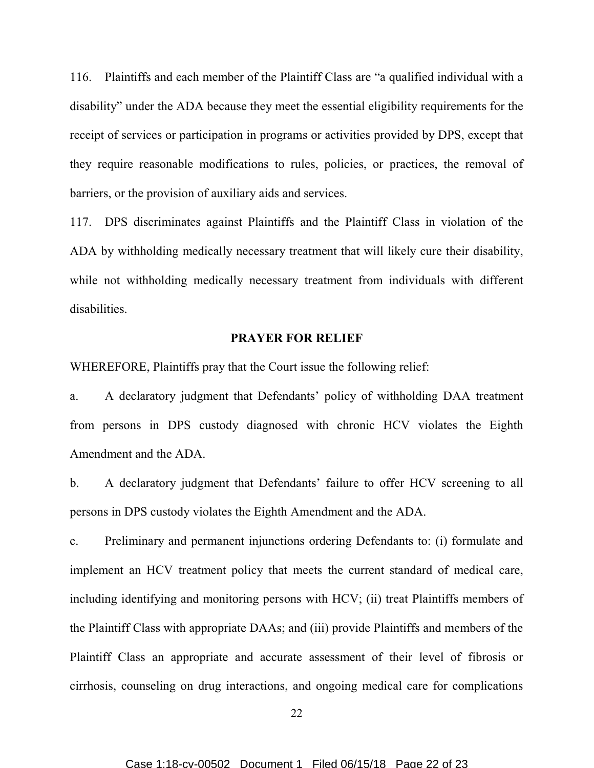116. Plaintiffs and each member of the Plaintiff Class are "a qualified individual with a disability" under the ADA because they meet the essential eligibility requirements for the receipt of services or participation in programs or activities provided by DPS, except that they require reasonable modifications to rules, policies, or practices, the removal of barriers, or the provision of auxiliary aids and services.

117. DPS discriminates against Plaintiffs and the Plaintiff Class in violation of the ADA by withholding medically necessary treatment that will likely cure their disability, while not withholding medically necessary treatment from individuals with different disabilities.

## PRAYER FOR RELIEF

WHEREFORE, Plaintiffs pray that the Court issue the following relief:

a. A declaratory judgment that Defendants' policy of withholding DAA treatment from persons in DPS custody diagnosed with chronic HCV violates the Eighth Amendment and the ADA.

b. A declaratory judgment that Defendants' failure to offer HCV screening to all persons in DPS custody violates the Eighth Amendment and the ADA.

c. Preliminary and permanent injunctions ordering Defendants to: (i) formulate and implement an HCV treatment policy that meets the current standard of medical care, including identifying and monitoring persons with HCV; (ii) treat Plaintiffs members of the Plaintiff Class with appropriate DAAs; and (iii) provide Plaintiffs and members of the Plaintiff Class an appropriate and accurate assessment of their level of fibrosis or cirrhosis, counseling on drug interactions, and ongoing medical care for complications